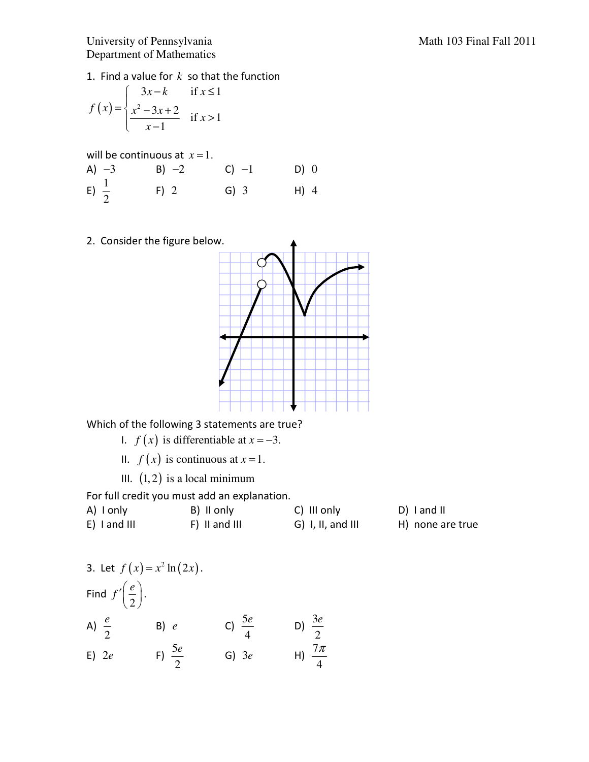## University of Pennsylvania Math 103 Final Fall 2011 Department of Mathematics

1. Find a value for *k* so that the function

$$
f(x) = \begin{cases} 3x - k & \text{if } x \le 1 \\ \frac{x^2 - 3x + 2}{x - 1} & \text{if } x > 1 \end{cases}
$$

will be continuous at  $x=1$ . A)  $-3$  B)  $-2$  C)  $-1$  D) 0 E)  $\frac{1}{2}$ 2 F) 2 G) 3 H) 4

2. Consider the figure below.



Which of the following 3 statements are true?

- 1.  $f(x)$  is differentiable at  $x = -3$ .
- II.  $f(x)$  is continuous at  $x = 1$ .
- III.  $(1, 2)$  is a local minimum

For full credit you must add an explanation.

| A) I only      | B) II only    | C) III only         | D) I and II      |
|----------------|---------------|---------------------|------------------|
| $E)$ I and III | F) II and III | $G)$ I, II, and III | H) none are true |

3. Let 
$$
f(x) = x^2 \ln(2x)
$$
.  
\nFind  $f'(\frac{e}{2})$ .  
\nA)  $\frac{e}{2}$  \nB)  $e$  \nC)  $\frac{5e}{4}$  \nD)  $\frac{3e}{2}$   
\nE)  $2e$  \nF)  $\frac{5e}{2}$  \nG)  $3e$  \nH)  $\frac{7\pi}{4}$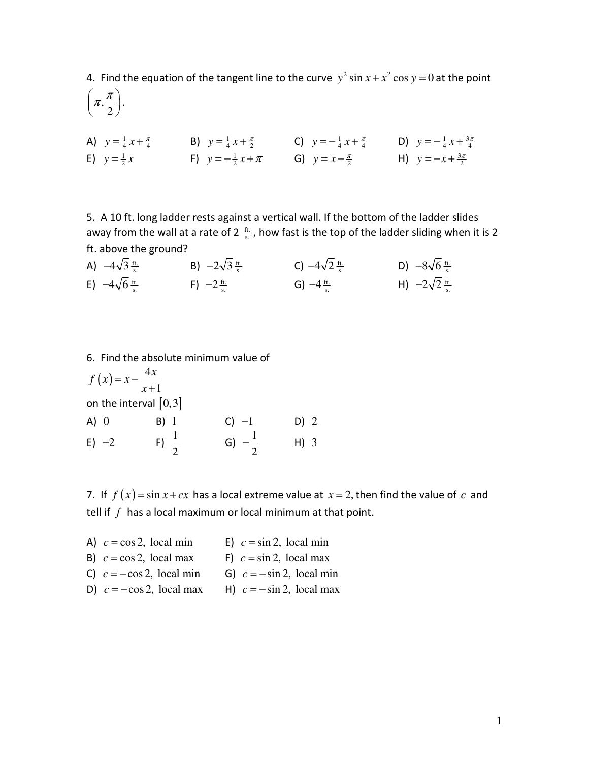4. Find the equation of the tangent line to the curve  $y^2 \sin x + x^2 \cos y = 0$  at the point

, 2  $\pi.\frac{\pi}{\ }$  $\left(\pi,\frac{\pi}{2}\right).$ 

A)  $y = \frac{1}{4}x + \frac{\pi}{4}$  B)  $y = \frac{1}{4}x + \frac{\pi}{2}$  C)  $y = -\frac{1}{4}x + \frac{\pi}{4}$  D)  $y = -\frac{1}{4}x + \frac{3\pi}{4}$ E)  $y = \frac{1}{2}x$  F)  $y = -\frac{1}{2}x + \pi$  G)  $y = x - \frac{\pi}{2}$  H)  $y = -x + \frac{3\pi}{2}$ 

5. A 10 ft. long ladder rests against a vertical wall. If the bottom of the ladder slides away from the wall at a rate of 2  $\frac{ft}{s}$ , how fast is the top of the ladder sliding when it is 2 ft. above the ground?

| A) $-4\sqrt{3} \frac{ft}{s}$                | B) $-2\sqrt{3} \frac{ft}{s}$ | C) $-4\sqrt{2} \frac{ft}{s}$ | D) $-8\sqrt{6} \frac{\text{ft.}}{\text{s.}}$ |
|---------------------------------------------|------------------------------|------------------------------|----------------------------------------------|
| E) $-4\sqrt{6} \frac{\text{ft.}}{\text{s}}$ | F) $-2\frac{ft}{s}$          | G) $-4\frac{ft}{s}$          | H) $-2\sqrt{2} \frac{ft}{s}$                 |

6. Find the absolute minimum value of

$$
f(x) = x - \frac{4x}{x+1}
$$
  
\non the interval [0,3]  
\nA) 0 \tB) 1 \tC) -1 \tD) 2  
\nE) -2 \tF)  $\frac{1}{2}$  \tG)  $-\frac{1}{2}$  \tH) 3

7. If  $f(x) = \sin x + cx$  has a local extreme value at  $x = 2$ , then find the value of *c* and tell if *f* has a local maximum or local minimum at that point.

| A) $c = \cos 2$ , local min  | E) $c = \sin 2$ , local min  |
|------------------------------|------------------------------|
| B) $c = \cos 2$ , local max  | F) $c = \sin 2$ , local max  |
| C) $c = -\cos 2$ , local min | G) $c = -\sin 2$ , local min |
| D) $c = -\cos 2$ , local max | H) $c = -\sin 2$ , local max |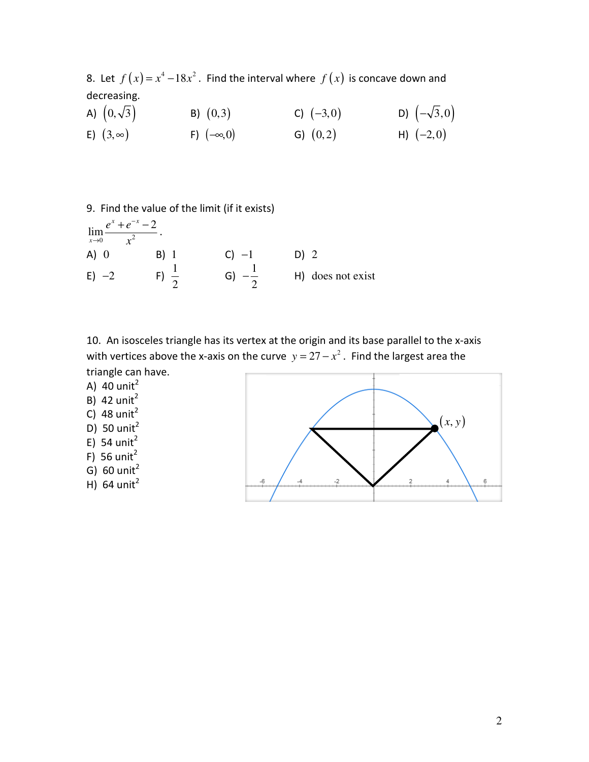8. Let  $f(x) = x^4 - 18x^2$ . Find the interval where  $f(x)$  is concave down and decreasing.

- A)  $(0, \sqrt{3})$  B)  $(0, 3)$  C)  $(-3, 0)$  D)  $(-\sqrt{3}, 0)$ E)  $(3,∞)$  F)  $(-∞,0)$  G)  $(0,2)$  H)  $(-2,0)$
- 9. Find the value of the limit (if it exists)

$$
\lim_{x \to 0} \frac{e^{x} + e^{-x} - 2}{x^{2}}
$$
\n(A) 0

\n(B) 1

\n(C) -1

\n(D) 2

\n(E) -2

\n(E) -2

\n(E)  $\frac{1}{2}$ 

\n(E)  $-\frac{1}{2}$ 

\n(E)  $-\frac{1}{2}$ 

\n(E)  $-\frac{1}{2}$ 

\n(E)  $-\frac{1}{2}$ 

\n(E)  $-\frac{1}{2}$ 

\n(E)  $-\frac{1}{2}$ 

\n(E)  $-\frac{1}{2}$ 

\n(E)  $-\frac{1}{2}$ 

\n(E)  $-\frac{1}{2}$ 

\n(E)  $-\frac{1}{2}$ 

\n(E)  $-\frac{1}{2}$ 

\n(E)  $-\frac{1}{2}$ 

\n(E)  $-\frac{1}{2}$ 

\n(E)  $-\frac{1}{2}$ 

\n(E)  $-\frac{1}{2}$ 

\n(E)  $-\frac{1}{2}$ 

\n(E)  $-\frac{1}{2}$ 

\n(E)  $-\frac{1}{2}$ 

\n(E)  $-\frac{1}{2}$ 

\n(E)  $-\frac{1}{2}$ 

\n(E)  $-\frac{1}{2}$ 

\n(E)  $-\frac{1}{2}$ 

\n(E)  $-\frac{1}{2}$ 

\n(E)  $-\frac{1}{2}$ 

\n(E)  $-\frac{1}{2}$ 

\n(E)  $-\frac{1}{2}$ 

\n(E)  $-\frac{1}{2}$ 

\n(E)  $-\frac{1}{2}$ 

\n(E)  $-\frac{1}{2}$ 

\n(E)  $-\frac{1}{2}$ 

\n(E)  $-\frac{1}{2}$ 

\n(E)  $-\frac{1}{2}$ 

\n(E)  $-\frac{1}{2}$ 

\n(E)  $-\frac{1}{2}$ 

\n(E)

10. An isosceles triangle has its vertex at the origin and its base parallel to the x-axis with vertices above the x-axis on the curve  $y = 27 - x^2$ . Find the largest area the triangle can have.

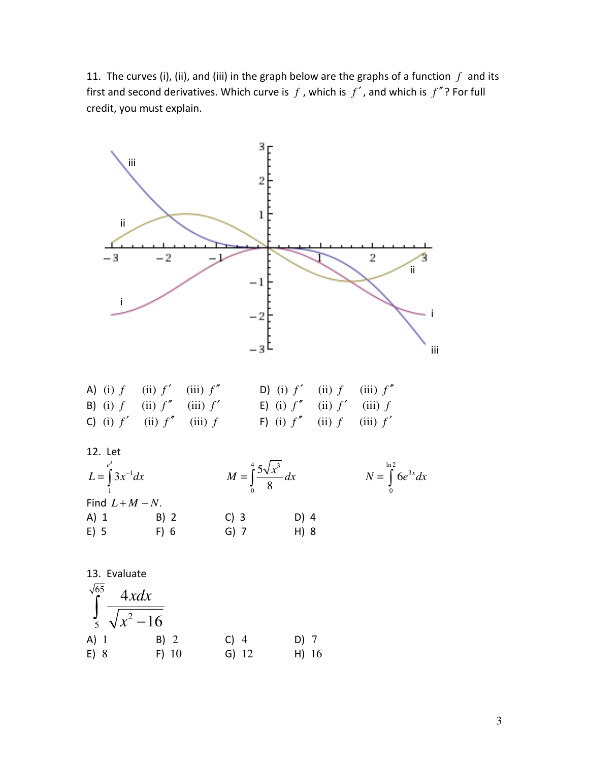11. The curves (i), (ii), and (iii) in the graph below are the graphs of a function  $f$  and its first and second derivatives. Which curve is  $f$ , which is  $f'$ , and which is  $f''$ ? For full credit, you must explain.



E) 8 F) 10 G) 12 H) 16